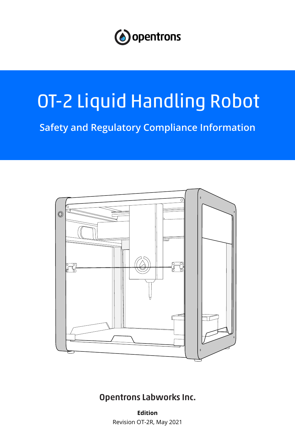

# OT-2 Liquid Handling Robot

**Safety and Regulatory Compliance Information**



# Opentrons Labworks Inc.

**Edition** Revision OT-2R, May 2021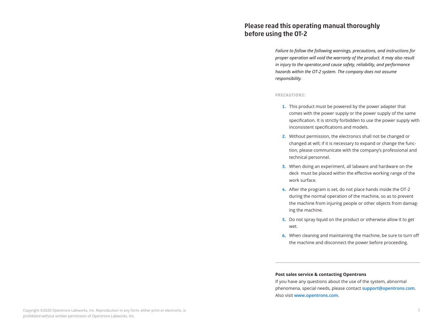# Please read this operating manual thoroughly before using the OT-2

*Failure to follow the following warnings, precautions, and instructions for proper operation will void the warranty of the product. It may also result in injury to the operator,and cause safety, reliability, and performance hazards within the OT-2 system. The company does not assume responsibility.* 

#### PRECAUTIONS:

- 1. This product must be powered by the power adapter that comes with the power supply or the power supply of the same specification. It is strictly forbidden to use the power supply with inconsistent specifications and models.
- 2. Without permission, the electronics shall not be changed or changed at will; if it is necessary to expand or change the function, please communicate with the company's professional and technical personnel.
- 3. When doing an experiment, all labware and hardware on the deck must be placed within the effective working range of the work surface.
- 4. After the program is set, do not place hands inside the OT-2 during the normal operation of the machine, so as to prevent the machine from injuring people or other objects from damaging the machine.
- 5. Do not spray liquid on the product or otherwise allow it to get wet.
- 6. When cleaning and maintaining the machine, be sure to turn off the machine and disconnect the power before proceeding.

### **Post sales service & contacting Opentrons**

If you have any questions about the use of the system, abnormal phenomena, special needs, please contact **[support@opentrons.com](mailto:support%40opentrons.com?subject=)**. Also visit **[www.opentrons.com](http://www.opentrons.com)**.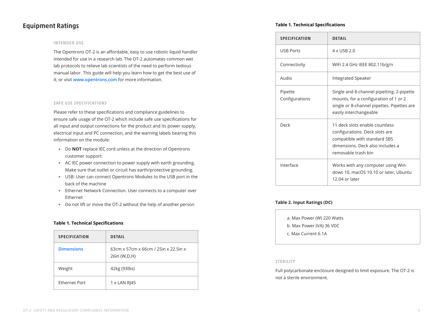# Equipment Ratings

#### INTENDED USE

The Opentrons OT-2 is an affordable, easy to use robotic liquid handler intended for use in a research lab. The OT-2 automates common wet lab protocols to relieve lab scientists of the need to perform tedious manual labor. This guide will help you learn how to get the best use of it, or visit **[www.opentrons.com](http://www.opentrons.com)** for more information.

#### SAFE USE SPECIFICATIONS

Please refer to these specifications and compliance guidelines to ensure safe usage of the OT-2 which include safe use specifications for all input and output connections for the product and its power supply, electrical input and PC connection, and the warning labels bearing this information on the module:

- Do **NOT** replace IEC cord unless at the direction of Opentrons customer support.
- AC IEC power connection to power supply with earth grounding. Make sure that outlet or circuit has earth/protective grounding.
- USB: User can connect Opentrons Modules to the USB port in the back of the machine
- Ethernet Network Connection. User connects to a computer over Ethernet
- Do not lift or move the OT-2 without the help of another person

### **Table 1. Technical Specifications**

| <b>SPECIFICATION</b> | <b>DETAIL</b>                                          |
|----------------------|--------------------------------------------------------|
| <b>Dimensions</b>    | 63cm x 57cm x 66cm / 25in x 22.5in x<br>26in (W, D, H) |
| Weight               | 42kg (93lbs)                                           |
| Ethernet Port        | $1 \times$ LAN RJ45                                    |

### **Table 1. Technical Specifications**

| <b>SPECIFICATION</b>      | <b>DETAIL</b>                                                                                                                                               |
|---------------------------|-------------------------------------------------------------------------------------------------------------------------------------------------------------|
| <b>USB Ports</b>          | 4 x USB 2.0                                                                                                                                                 |
| Connectivity              | WiFi 2.4 GHz IEEE 802.11b/g/n                                                                                                                               |
| Audio                     | Integrated Speaker                                                                                                                                          |
| Pipette<br>Configurations | Single and 8-channel pipetting. 2-pipette<br>mounts, for a configuration of 1 or 2<br>single or 8-channel pipettes. Pipettes are<br>easily interchangeable  |
| Deck                      | 11 deck slots enable countless<br>configurations. Deck slots are<br>compatible with standard SBS<br>dimensions. Deck also includes a<br>removable trash bin |
| Interface                 | Works with any computer using Win-<br>dows 10, macOS 10.10 or later, Ubuntu<br>12.04 or later                                                               |

### **Table 2. Input Ratings (DC)**

|  |  | a. Max Power (W) 220 Watts |  |  |  |
|--|--|----------------------------|--|--|--|
|--|--|----------------------------|--|--|--|

b. Max Power (VA) 36 VDC

c. Max Current 6.1A

#### STERILITY

Full polycarbonate enclosure designed to limit exposure. The OT-2 is not a sterile environment.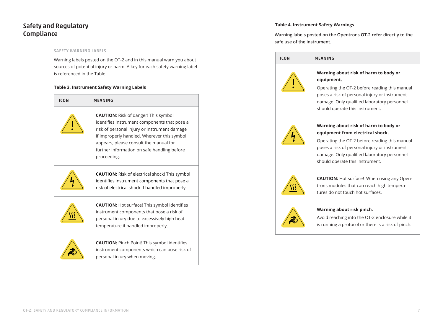# Safety and Regulatory Compliance

## SAFETY WARNING LABELS

Warning labels posted on the OT-2 and in this manual warn you about sources of potential injury or harm. A key for each safety warning label is referenced in the Table.

## **Table 3. Instrument Safety Warning Labels**

| ICON | MEANING                                                                                                                                                                                                                                                                                            |  |
|------|----------------------------------------------------------------------------------------------------------------------------------------------------------------------------------------------------------------------------------------------------------------------------------------------------|--|
|      | <b>CAUTION:</b> Risk of danger! This symbol<br>identifies instrument components that pose a<br>risk of personal injury or instrument damage<br>if improperly handled. Wherever this symbol<br>appears, please consult the manual for<br>further information on safe handling before<br>proceeding. |  |
|      | <b>CAUTION:</b> Risk of electrical shock! This symbol<br>identifies instrument components that pose a<br>risk of electrical shock if handled improperly.                                                                                                                                           |  |
|      | <b>CAUTION:</b> Hot surface! This symbol identifies<br>instrument components that pose a risk of<br>personal injury due to excessively high heat<br>temperature if handled improperly.                                                                                                             |  |
|      | <b>CAUTION:</b> Pinch Point! This symbol identifies<br>instrument components which can pose risk of<br>personal injury when moving.                                                                                                                                                                |  |

## **Table 4. Instrument Safety Warnings**

**Warning labels posted on the Opentrons OT-2 refer directly to the safe use of the instrument.**

| <b>ICON</b> | MEANING                                                                                                                                                                                                                                                       |
|-------------|---------------------------------------------------------------------------------------------------------------------------------------------------------------------------------------------------------------------------------------------------------------|
|             | Warning about risk of harm to body or<br>equipment.<br>Operating the OT-2 before reading this manual<br>poses a risk of personal injury or instrument<br>damage. Only qualified laboratory personnel<br>should operate this instrument.                       |
|             | Warning about risk of harm to body or<br>equipment from electrical shock.<br>Operating the OT-2 before reading this manual<br>poses a risk of personal injury or instrument<br>damage. Only qualified laboratory personnel<br>should operate this instrument. |
|             | <b>CAUTION:</b> Hot surface! When using any Open-<br>trons modules that can reach high tempera-<br>tures do not touch hot surfaces.                                                                                                                           |
|             | Warning about risk pinch.<br>Avoid reaching into the OT-2 enclosure while it<br>is running a protocol or there is a risk of pinch.                                                                                                                            |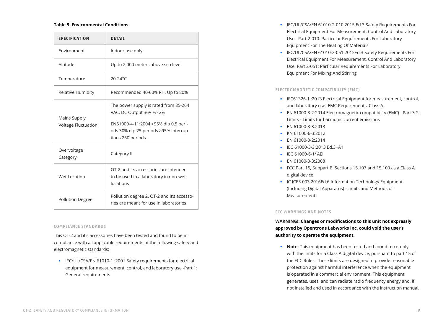#### **Table 5. Environmental Conditions**

| <b>SPECIFICATION</b>                | <b>DETAIL</b>                                                                                                                                                             |
|-------------------------------------|---------------------------------------------------------------------------------------------------------------------------------------------------------------------------|
| Environment                         | Indoor use only                                                                                                                                                           |
| Altitude                            | Up to 2,000 meters above sea level                                                                                                                                        |
| Temperature                         | $20-24$ °C                                                                                                                                                                |
| Relative Humidity                   | Recommended 40-60% RH. Up to 80%                                                                                                                                          |
| Mains Supply<br>Voltage Fluctuation | The power supply is rated from 85-264<br>VAC. DC Output 36V +/- 2%<br>EN61000-4-11:2004 >95% dip 0.5 peri-<br>ods 30% dip 25 periods >95% interrup-<br>tions 250 periods. |
| Overvoltage<br>Category             | Category II                                                                                                                                                               |
| Wet Location                        | OT-2 and its accessories are intended<br>to be used in a laboratory in non-wet<br>locations                                                                               |
| <b>Pollution Degree</b>             | Pollution degree 2. OT-2 and it's accesso-<br>ries are meant for use in laboratories                                                                                      |

#### COMPLIANCE STANDARDS

This OT-2 and it's accessories have been tested and found to be in compliance with all applicable requirements of the following safety and electromagnetic standards:

◾ IEC/UL/CSA/EN 61010-1 :2001 Safety requirements for electrical equipment for measurement, control, and laboratory use -Part 1: General requirements

- IEC/UL/CSA/EN 61010-2-010:2015 Ed.3 Safety Requirements For Electrical Equipment For Measurement, Control And Laboratory Use - Part 2-010: Particular Requirements For Laboratory Equipment For The Heating Of Materials
- ◾ IEC/UL/CSA/EN 61010-2-051:2015Ed.3 Safety Requirements For Electrical Equipment For Measurement, Control And Laboratory Use Part 2-051: Particular Requirements For Laboratory Equipment For Mixing And Stirring

## ELECTROMAGNETIC COMPATIBILITY (EMC)

- IEC61326-1 :2013 Electrical Equipment for measurement, control, and laboratory use -EMC Requirements, Class A
- EN 61000-3-2:2014 Electromagnetic compatibility (EMC) Part 3-2: Limits - Limits for harmonic current emissions
- **EN 61000-3-3:2013**
- ◾ KN 61000-6-3:2012
- **EN 61000-3-2:2014**
- IEC 61000-3-3:2013 Ed.3+A1
- ◾ IEC 61000-6-1\*AEI
- EN 61000-3-3:2008
- FCC Part 15, Subpart B, Sections 15.107 and 15.109 as a Class A digital device
- IC ICES-003:2016Ed.6 Information Technology Equipment (Including Digital Apparatus) –Limits and Methods of Measurement

#### FCC WARNINGS AND NOTES

**WARNING!: Changes or modifications to this unit not expressly approved by Opentrons Labworks Inc, could void the user's authority to operate the equipment.**

◾ **Note:** This equipment has been tested and found to comply with the limits for a Class A digital device, pursuant to part 15 of the FCC Rules. These limits are designed to provide reasonable protection against harmful interference when the equipment is operated in a commercial environment. This equipment generates, uses, and can radiate radio frequency energy and, if not installed and used in accordance with the instruction manual,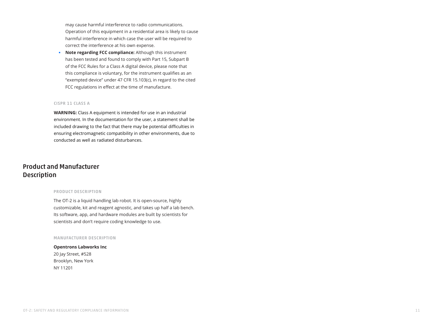may cause harmful interference to radio communications. Operation of this equipment in a residential area is likely to cause harmful interference in which case the user will be required to correct the interference at his own expense.

◾ **Note regarding FCC compliance:** Although this instrument has been tested and found to comply with Part 15, Subpart B of the FCC Rules for a Class A digital device, please note that this compliance is voluntary, for the instrument qualifies as an "exempted device" under 47 CFR 15.103(c), in regard to the cited FCC regulations in effect at the time of manufacture.

## CISPR 11 CLASS A

**WARNING:** Class A equipment is intended for use in an industrial environment. In the documentation for the user, a statement shall be included drawing to the fact that there may be potential difficulties in ensuring electromagnetic compatibility in other environments, due to conducted as well as radiated disturbances.

# Product and Manufacturer **Description**

#### PRODUCT DESCRIPTION

The OT-2 is a liquid handling lab robot. It is open-source, highly customizable, kit and reagent agnostic, and takes up half a lab bench. Its software, app, and hardware modules are built by scientists for scientists and don't require coding knowledge to use.

#### MANUFACTURER DESCRIPTION

**Opentrons Labworks Inc** 20 Jay Street, #528 Brooklyn, New York NY 11201